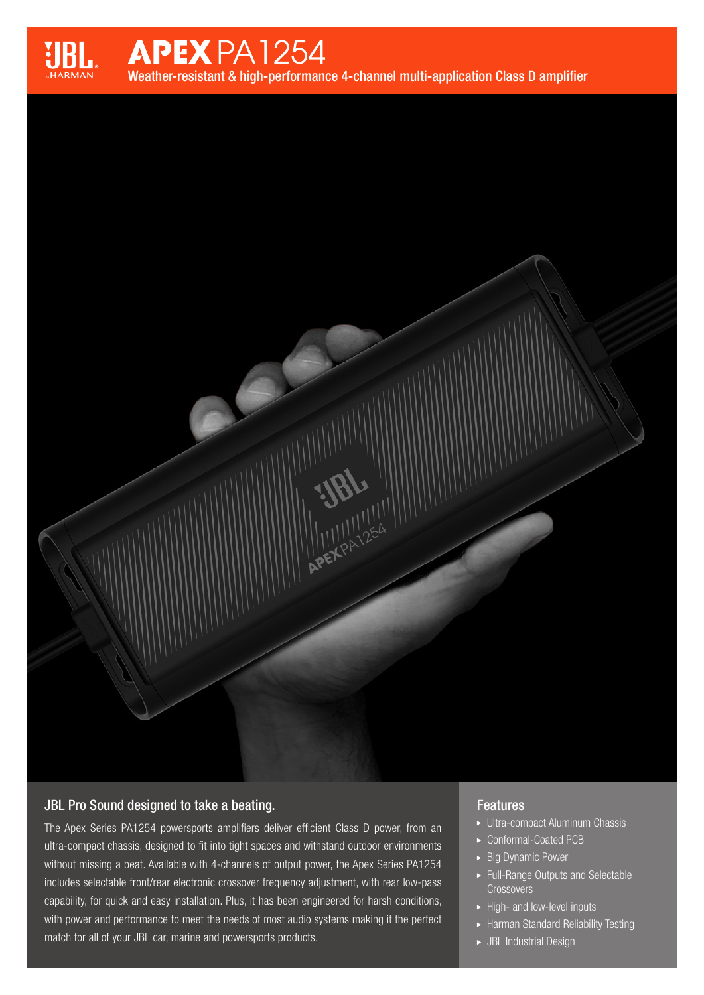

# **APEX PA1254**

Weather-resistant & high-performance 4-channel multi-application Class D amplifier

APEXPA 254

## JBL Pro Sound designed to take a beating.

The Apex Series PA1254 powersports amplifiers deliver efficient Class D power, from an ultra-compact chassis, designed to fit into tight spaces and withstand outdoor environments without missing a beat. Available with 4-channels of output power, the Apex Series PA1254 includes selectable front/rear electronic crossover frequency adjustment, with rear low-pass capability, for quick and easy installation. Plus, it has been engineered for harsh conditions, with power and performance to meet the needs of most audio systems making it the perfect match for all of your JBL car, marine and powersports products.

#### **Features**

- Ultra-compact Aluminum Chassis
- ▶ Conformal-Coated PCB
- ► Big Dynamic Power
- Full-Range Outputs and Selectable **Crossovers**
- $\blacktriangleright$  High- and low-level inputs
- Harman Standard Reliability Testing
- JBL Industrial Design